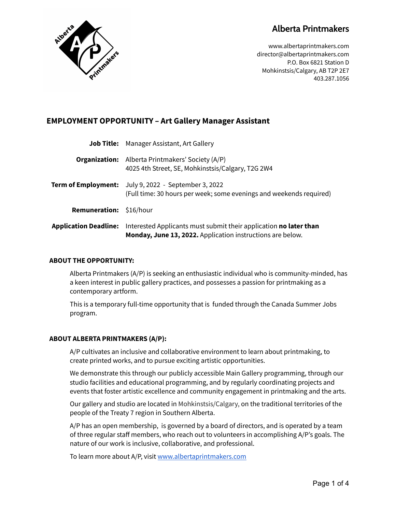# **Alberta Printmakers**



www.albertaprintmakers.com director@albertaprintmakers.com P.O. Box 6821 Station D Mohkinstsis/Calgary, AB T2P 2E7 403.287.1056

# **EMPLOYMENT OPPORTUNITY – Art Gallery Manager Assistant**

| <b>Application Deadline:</b> | Interested Applicants must submit their application no later than<br>Monday, June 13, 2022. Application instructions are below.    |
|------------------------------|------------------------------------------------------------------------------------------------------------------------------------|
| <b>Remuneration:</b>         | \$16/hour                                                                                                                          |
|                              | <b>Term of Employment:</b> July 9, 2022 - September 3, 2022<br>(Full time: 30 hours per week; some evenings and weekends required) |
|                              | <b>Organization:</b> Alberta Printmakers' Society (A/P)<br>4025 4th Street, SE, Mohkinstsis/Calgary, T2G 2W4                       |
|                              | <b>Job Title:</b> Manager Assistant, Art Gallery                                                                                   |

# **ABOUT THE OPPORTUNITY:**

Alberta Printmakers (A/P) is seeking an enthusiastic individual who is community-minded, has a keen interest in public gallery practices, and possesses a passion for printmaking as a contemporary artform.

This is a temporary full-time opportunity that is funded through the Canada Summer Jobs program.

# **ABOUT ALBERTA PRINTMAKERS (A/P):**

A/P cultivates an inclusive and collaborative environment to learn about printmaking, to create printed works, and to pursue exciting artistic opportunities.

We demonstrate this through our publicly accessible Main Gallery programming, through our studio facilities and educational programming, and by regularly coordinating projects and events that foster artistic excellence and community engagement in printmaking and the arts.

Our gallery and studio are located in Mohkinstsis/Calgary, on the traditional territories of the people of the Treaty 7 region in Southern Alberta.

A/P has an open membership, is governed by a board of directors, and is operated by a team of three regular staff members, who reach out to volunteers in accomplishing A/P's goals. The nature of our work is inclusive, collaborative, and professional.

To learn more about A/P, visit [www.albertaprintmakers.com](http://www.albertaprintmakers.com)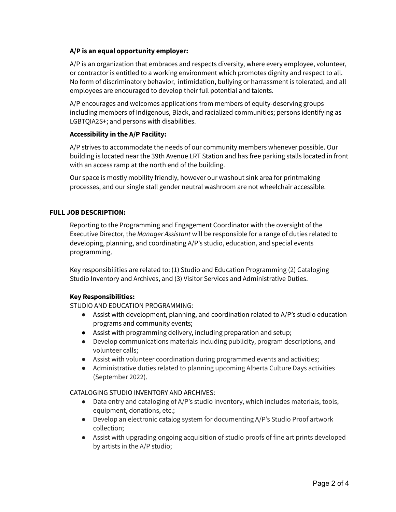# **A/P is an equal opportunity employer:**

A/P is an organization that embraces and respects diversity, where every employee, volunteer, or contractor is entitled to a working environment which promotes dignity and respect to all. No form of discriminatory behavior, intimidation, bullying or harrassment is tolerated, and all employees are encouraged to develop their full potential and talents.

A/P encourages and welcomes applications from members of equity-deserving groups including members of Indigenous, Black, and racialized communities; persons identifying as LGBTQIA2S+; and persons with disabilities.

# **Accessibility in the A/P Facility:**

A/P strives to accommodate the needs of our community members whenever possible. Our building is located near the 39th Avenue LRT Station and has free parking stalls located in front with an access ramp at the north end of the building.

Our space is mostly mobility friendly, however our washout sink area for printmaking processes, and our single stall gender neutral washroom are not wheelchair accessible.

# **FULL JOB DESCRIPTION:**

Reporting to the Programming and Engagement Coordinator with the oversight of the Executive Director, the *Manager Assistant* will be responsible for a range of duties related to developing, planning, and coordinating A/P's studio, education, and special events programming.

Key responsibilities are related to: (1) Studio and Education Programming (2) Cataloging Studio Inventory and Archives, and (3) Visitor Services and Administrative Duties.

# **Key Responsibilities:**

STUDIO AND EDUCATION PROGRAMMING:

- Assist with development, planning, and coordination related to A/P's studio education programs and community events;
- Assist with programming delivery, including preparation and setup;
- Develop communications materials including publicity, program descriptions, and volunteer calls;
- Assist with volunteer coordination during programmed events and activities;
- Administrative duties related to planning upcoming Alberta Culture Days activities (September 2022).

#### CATALOGING STUDIO INVENTORY AND ARCHIVES:

- Data entry and cataloging of A/P's studio inventory, which includes materials, tools, equipment, donations, etc.;
- Develop an electronic catalog system for documenting A/P's Studio Proof artwork collection;
- Assist with upgrading ongoing acquisition of studio proofs of fine art prints developed by artists in the A/P studio;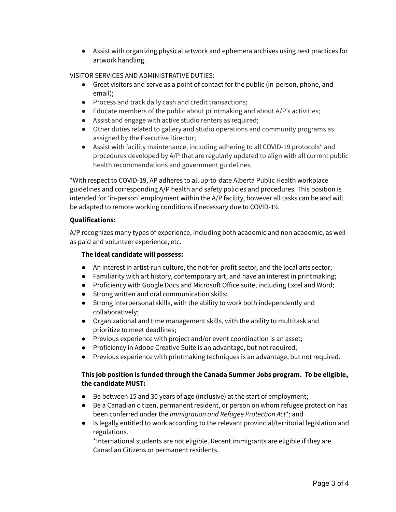● Assist with organizing physical artwork and ephemera archives using best practices for artwork handling.

# VISITOR SERVICES AND ADMINISTRATIVE DUTIES:

- Greet visitors and serve as a point of contact for the public (in-person, phone, and email);
- Process and track daily cash and credit transactions;
- Educate members of the public about printmaking and about A/P's activities;
- Assist and engage with active studio renters as required;
- Other duties related to gallery and studio operations and community programs as assigned by the Executive Director;
- Assist with facility maintenance, including adhering to all COVID-19 protocols\* and procedures developed by A/P that are regularly updated to align with all current public health recommendations and government guidelines.

\*With respect to COVID-19, AP adheres to all up-to-date Alberta Public Health workplace guidelines and corresponding A/P health and safety policies and procedures. This position is intended for 'in-person' employment within the A/P facility, however all tasks can be and will be adapted to remote working conditions if necessary due to COVID-19.

# **Qualifications:**

A/P recognizes many types of experience, including both academic and non academic, as well as paid and volunteer experience, etc.

# **The ideal candidate will possess:**

- An interest in artist-run culture, the not-for-profit sector, and the local arts sector;
- Familiarity with art history, contemporary art, and have an interest in printmaking;
- Proficiency with Google Docs and Microsoft Office suite, including Excel and Word;
- Strong written and oral communication skills;
- Strong interpersonal skills, with the ability to work both independently and collaboratively;
- Organizational and time management skills, with the ability to multitask and prioritize to meet deadlines;
- Previous experience with project and/or event coordination is an asset;
- Proficiency in Adobe Creative Suite is an advantage, but not required;
- Previous experience with printmaking techniques is an advantage, but not required.

# **This job position is funded through the Canada Summer Jobs program. To be eligible, the candidate MUST:**

- Be between 15 and 30 years of age (inclusive) at the start of employment;
- Be a Canadian citizen, permanent resident, or person on whom refugee protection has been conferred under the *Immigration and Refugee Protection Act*\*; and
- Is legally entitled to work according to the relevant provincial/territorial legislation and regulations.

\*International students are not eligible. Recent immigrants are eligible if they are Canadian Citizens or permanent residents.